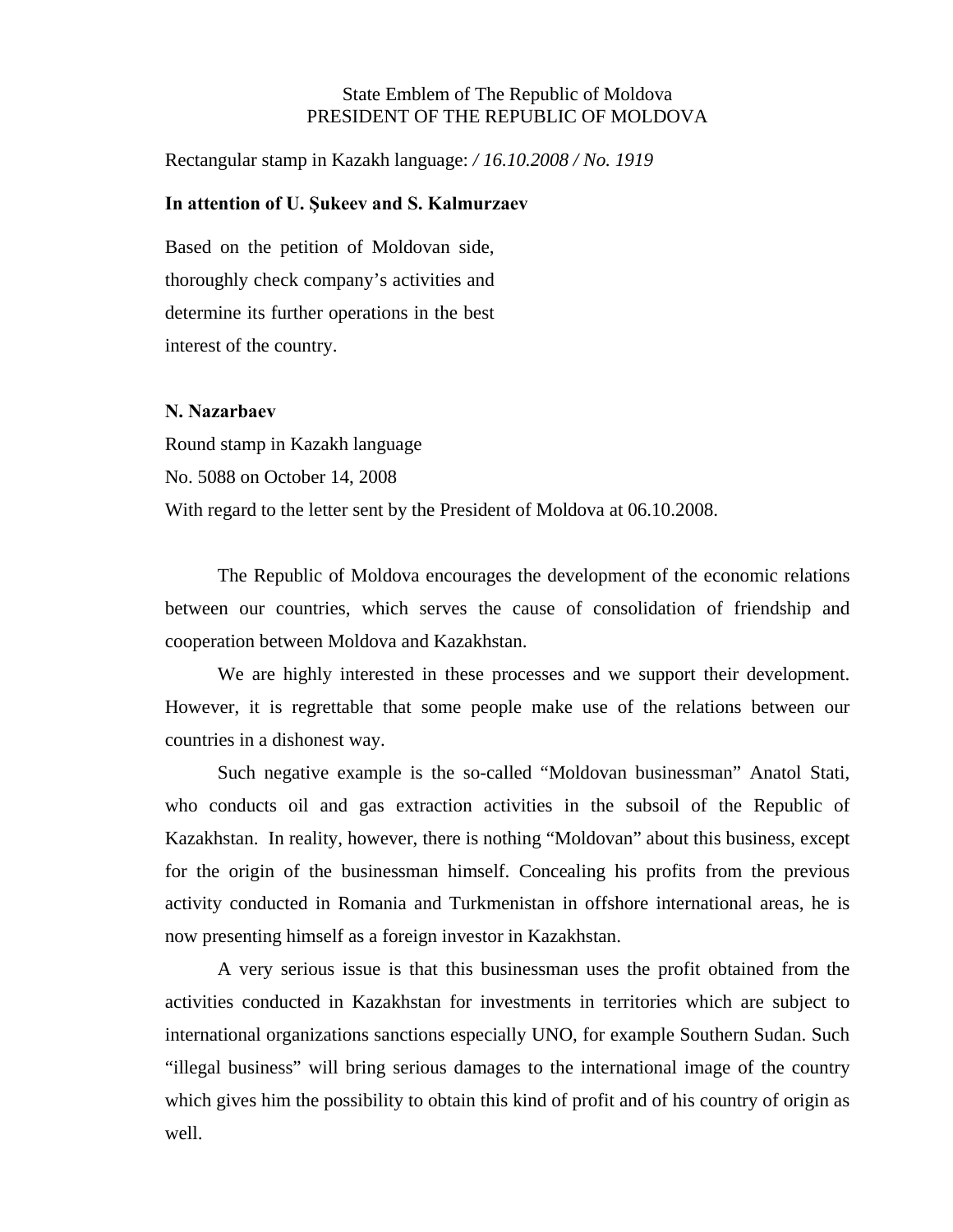## State Emblem of The Republic of Moldova PRESIDENT OF THE REPUBLIC OF MOLDOVA

Rectangular stamp in Kazakh language: */ 16.10.2008 / No. 1919*

### **In attention of U. Şukeev and S. Kalmurzaev**

Based on the petition of Moldovan side, thoroughly check company's activities and determine its further operations in the best interest of the country.

### **N. Nazarbaev**

Round stamp in Kazakh language No. 5088 on October 14, 2008 With regard to the letter sent by the President of Moldova at 06.10.2008.

The Republic of Moldova encourages the development of the economic relations between our countries, which serves the cause of consolidation of friendship and cooperation between Moldova and Kazakhstan.

We are highly interested in these processes and we support their development. However, it is regrettable that some people make use of the relations between our countries in a dishonest way.

Such negative example is the so-called "Moldovan businessman" Anatol Stati, who conducts oil and gas extraction activities in the subsoil of the Republic of Kazakhstan. In reality, however, there is nothing "Moldovan" about this business, except for the origin of the businessman himself. Concealing his profits from the previous activity conducted in Romania and Turkmenistan in offshore international areas, he is now presenting himself as a foreign investor in Kazakhstan.

A very serious issue is that this businessman uses the profit obtained from the activities conducted in Kazakhstan for investments in territories which are subject to international organizations sanctions especially UNO, for example Southern Sudan. Such "illegal business" will bring serious damages to the international image of the country which gives him the possibility to obtain this kind of profit and of his country of origin as well.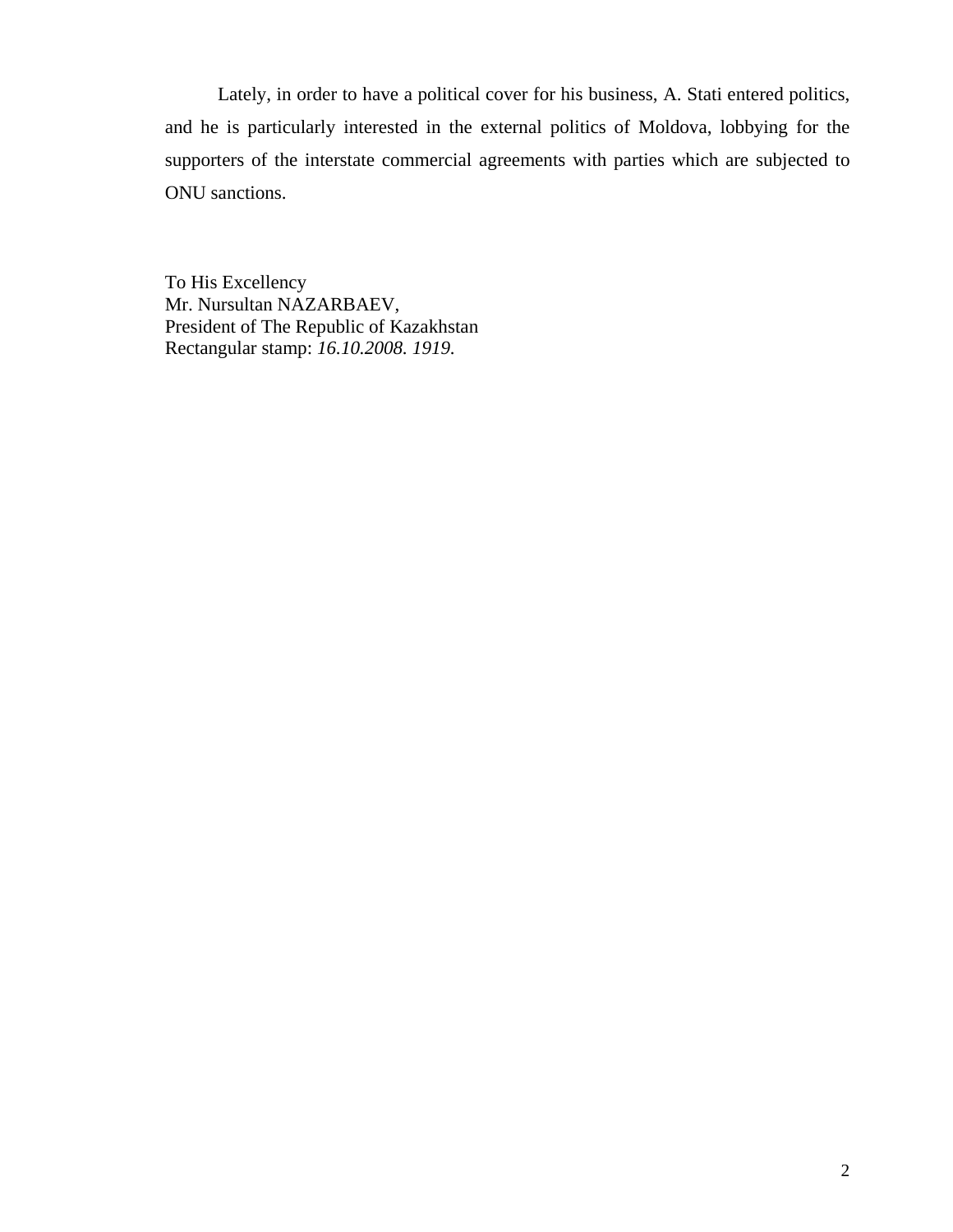Lately, in order to have a political cover for his business, A. Stati entered politics, and he is particularly interested in the external politics of Moldova, lobbying for the supporters of the interstate commercial agreements with parties which are subjected to ONU sanctions.

To His Excellency Mr. Nursultan NAZARBAEV, President of The Republic of Kazakhstan Rectangular stamp: *16.10.2008. 1919.*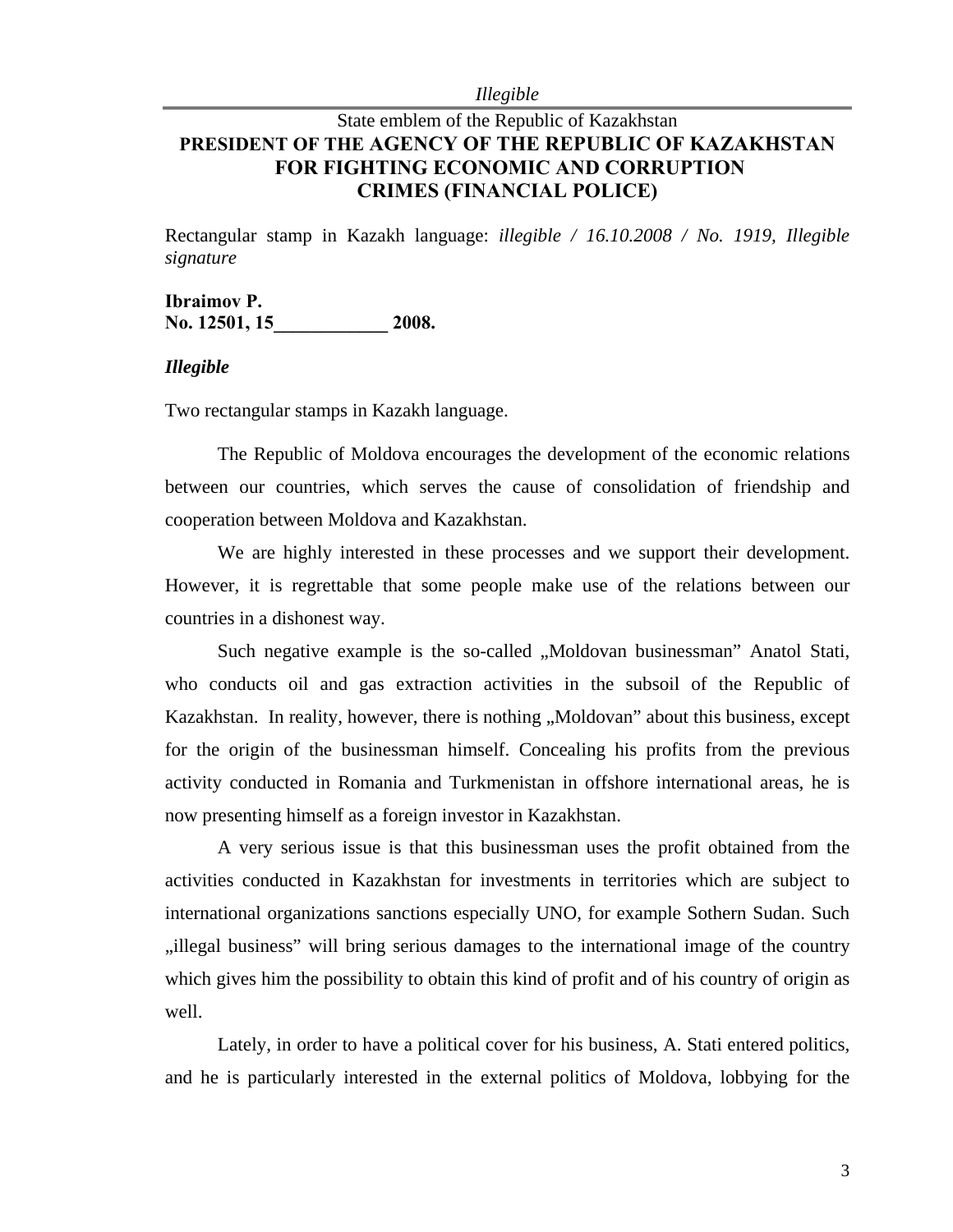*Illegible* 

# State emblem of the Republic of Kazakhstan **PRESIDENT OF THE AGENCY OF THE REPUBLIC OF KAZAKHSTAN FOR FIGHTING ECONOMIC AND CORRUPTION CRIMES (FINANCIAL POLICE)**

Rectangular stamp in Kazakh language: *illegible / 16.10.2008 / No. 1919, Illegible signature*

## **Ibraimov P.**  No. 12501, 15<sup>2008</sup>.

### *Illegible*

Two rectangular stamps in Kazakh language.

The Republic of Moldova encourages the development of the economic relations between our countries, which serves the cause of consolidation of friendship and cooperation between Moldova and Kazakhstan.

We are highly interested in these processes and we support their development. However, it is regrettable that some people make use of the relations between our countries in a dishonest way.

Such negative example is the so-called ...Moldovan businessman" Anatol Stati, who conducts oil and gas extraction activities in the subsoil of the Republic of Kazakhstan. In reality, however, there is nothing "Moldovan" about this business, except for the origin of the businessman himself. Concealing his profits from the previous activity conducted in Romania and Turkmenistan in offshore international areas, he is now presenting himself as a foreign investor in Kazakhstan.

A very serious issue is that this businessman uses the profit obtained from the activities conducted in Kazakhstan for investments in territories which are subject to international organizations sanctions especially UNO, for example Sothern Sudan. Such "illegal business" will bring serious damages to the international image of the country which gives him the possibility to obtain this kind of profit and of his country of origin as well.

Lately, in order to have a political cover for his business, A. Stati entered politics, and he is particularly interested in the external politics of Moldova, lobbying for the